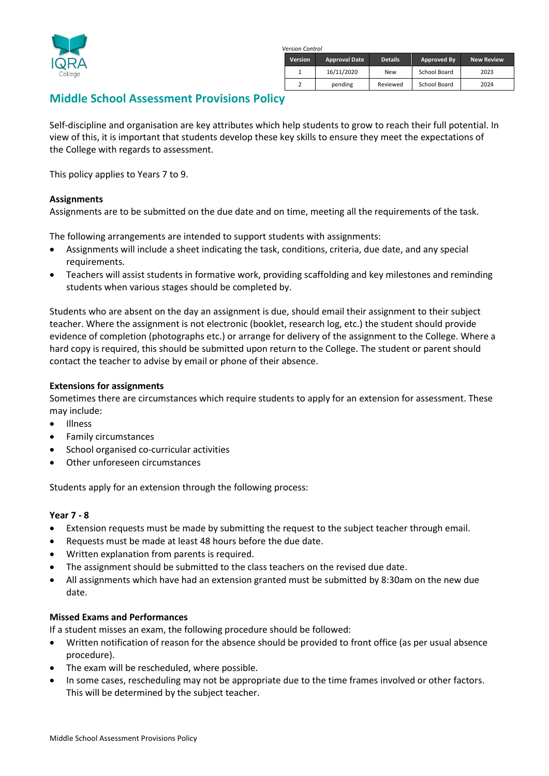

*Version Control*

| <b>Version</b> | <b>Approval Date</b> | <b>Details</b> | Approved By  | <b>New Review</b> |
|----------------|----------------------|----------------|--------------|-------------------|
|                | 16/11/2020           | New            | School Board | 2023              |
|                | pending              | Reviewed       | School Board | 2024              |

# **Middle School Assessment Provisions Policy**

Self-discipline and organisation are key attributes which help students to grow to reach their full potential. In view of this, it is important that students develop these key skills to ensure they meet the expectations of the College with regards to assessment.

This policy applies to Years 7 to 9.

### **Assignments**

Assignments are to be submitted on the due date and on time, meeting all the requirements of the task.

The following arrangements are intended to support students with assignments:

- Assignments will include a sheet indicating the task, conditions, criteria, due date, and any special requirements.
- Teachers will assist students in formative work, providing scaffolding and key milestones and reminding students when various stages should be completed by.

Students who are absent on the day an assignment is due, should email their assignment to their subject teacher. Where the assignment is not electronic (booklet, research log, etc.) the student should provide evidence of completion (photographs etc.) or arrange for delivery of the assignment to the College. Where a hard copy is required, this should be submitted upon return to the College. The student or parent should contact the teacher to advise by email or phone of their absence.

### **Extensions for assignments**

Sometimes there are circumstances which require students to apply for an extension for assessment. These may include:

- Illness
- Family circumstances
- School organised co-curricular activities
- Other unforeseen circumstances

Students apply for an extension through the following process:

## **Year 7 - 8**

- Extension requests must be made by submitting the request to the subject teacher through email.
- Requests must be made at least 48 hours before the due date.
- Written explanation from parents is required.
- The assignment should be submitted to the class teachers on the revised due date.
- All assignments which have had an extension granted must be submitted by 8:30am on the new due date.

#### **Missed Exams and Performances**

If a student misses an exam, the following procedure should be followed:

- Written notification of reason for the absence should be provided to front office (as per usual absence procedure).
- The exam will be rescheduled, where possible.
- In some cases, rescheduling may not be appropriate due to the time frames involved or other factors. This will be determined by the subject teacher.